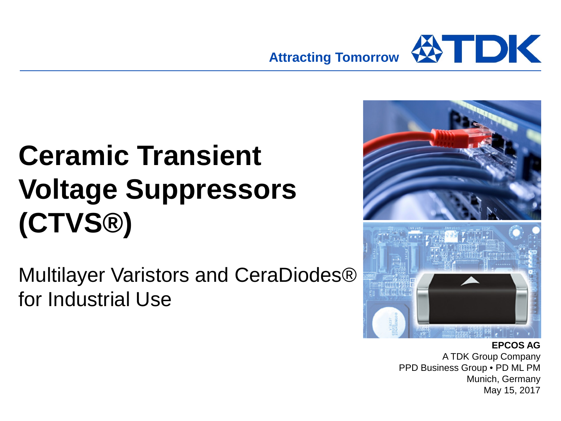

# **Ceramic Transient Voltage Suppressors (CTVS®)**

Multilayer Varistors and CeraDiodes® for Industrial Use



#### **EPCOS AG**

A TDK Group Company PPD Business Group • PD ML PM Munich, Germany May 15, 2017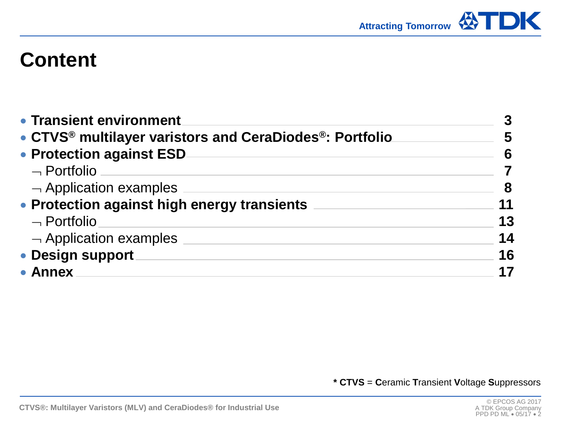

## **Content**

| • Transient environment                                                          | 3  |  |  |  |  |
|----------------------------------------------------------------------------------|----|--|--|--|--|
| • CTVS <sup>®</sup> multilayer varistors and CeraDiodes <sup>®</sup> : Portfolio |    |  |  |  |  |
| • Protection against ESD                                                         | 6  |  |  |  |  |
| $\neg$ Portfolio                                                                 |    |  |  |  |  |
| $\lnot$ Application examples                                                     | 8  |  |  |  |  |
| • Protection against high energy transients                                      | 11 |  |  |  |  |
| $\neg$ Portfolio                                                                 | 13 |  |  |  |  |
| $\neg$ Application examples                                                      | 14 |  |  |  |  |
| • Design support                                                                 | 16 |  |  |  |  |
| • Annex                                                                          | 17 |  |  |  |  |

**\* CTVS** = **C**eramic **T**ransient **V**oltage **S**uppressors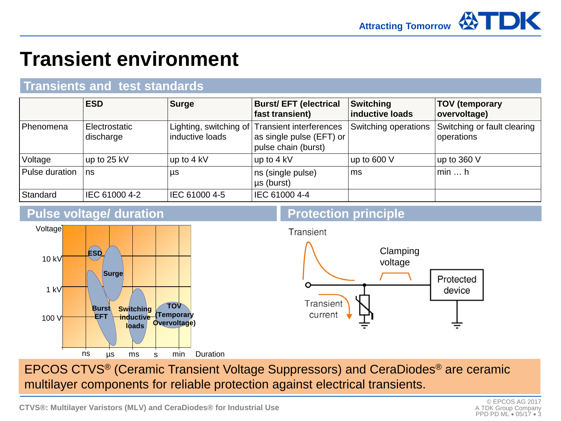## **Transient environment**

### **Transients and test standards**

|                  | <b>ESD</b>                 | <b>Surge</b>    | <b>Burst/ EFT (electrical</b><br>fast transient)                                                  | Switching<br>inductive loads | <b>TOV</b> (temporary<br>overvoltage)     |
|------------------|----------------------------|-----------------|---------------------------------------------------------------------------------------------------|------------------------------|-------------------------------------------|
| Phenomena        | Electrostatic<br>discharge | inductive loads | Lighting, switching of Transient interferences<br>as single pulse (EFT) or<br>pulse chain (burst) | Switching operations         | Switching or fault clearing<br>operations |
| Voltage          | up to 25 kV                | up to 4 kV      | up to 4 kV                                                                                        | up to $600V$                 | $\vert$ up to 360 V                       |
| l Pulse duration | ∣ns                        | μs              | ns (single pulse)<br>$\mu s$ (burst)                                                              | ms                           | $\mathsf{I}$ min $\mathsf{I}$ h           |
| Standard         | IEC 61000 4-2              | IEC 61000 4-5   | IEC 61000 4-4                                                                                     |                              |                                           |

#### **Pulse voltage/ duration**



### **Protection principle**



multilayer components for reliable protection against electrical transients. EPCOS CTVS® (Ceramic Transient Voltage Suppressors) and CeraDiodes® are ceramic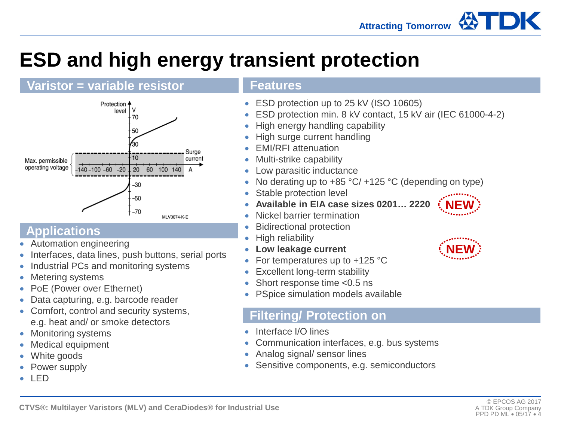

## **ESD and high energy transient protection**

### **Varistor = variable resistor**



### **Applications**

- Automation engineering
- Interfaces, data lines, push buttons, serial ports
- Industrial PCs and monitoring systems
- Metering systems
- PoE (Power over Ethernet)
- Data capturing, e.g. barcode reader
- Comfort, control and security systems, e.g. heat and/ or smoke detectors
- Monitoring systems
- Medical equipment
- White goods
- Power supply
- LED

#### **Features**

- ESD protection up to 25 kV (ISO 10605)
- ESD protection min. 8 kV contact, 15 kV air (IEC 61000-4-2)
- High energy handling capability
- High surge current handling
- EMI/RFI attenuation
- Multi-strike capability
- Low parasitic inductance
- No derating up to  $+85 \degree C/ +125 \degree C$  (depending on type)
- Stable protection level
- **Available in EIA case sizes 0201… 2220**
	- Nickel barrier termination
	- Bidirectional protection
- High reliability
- **Low leakage current**
- For temperatures up to  $+125$  °C
- Excellent long-term stability
- Short response time <0.5 ns
- PSpice simulation models available

### **Filtering/ Protection on**

- Interface I/O lines
- Communication interfaces, e.g. bus systems
- Analog signal/ sensor lines
- Sensitive components, e.g. semiconductors



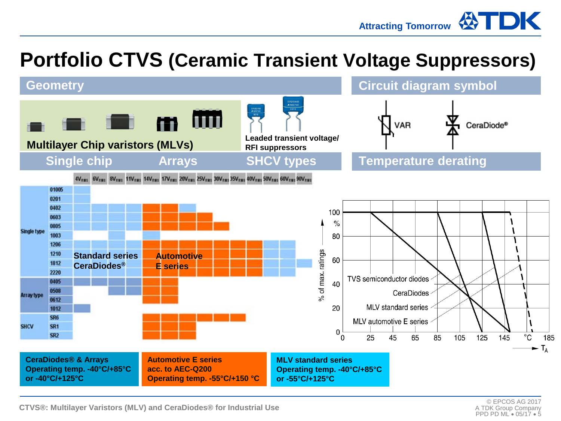Attracting Tomorrow **WIDK** 

## **Portfolio CTVS (Ceramic Transient Voltage Suppressors)**

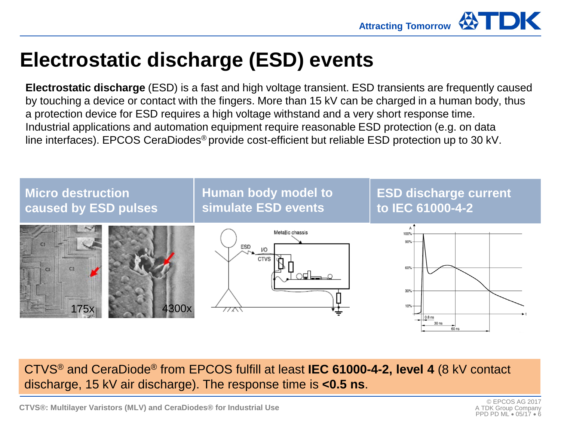

### **Electrostatic discharge (ESD) events**

**Electrostatic discharge** (ESD) is a fast and high voltage transient. ESD transients are frequently caused by touching a device or contact with the fingers. More than 15 kV can be charged in a human body, thus a protection device for ESD requires a high voltage withstand and a very short response time. Industrial applications and automation equipment require reasonable ESD protection (e.g. on data line interfaces). EPCOS CeraDiodes® provide cost-efficient but reliable ESD protection up to 30 kV.



CTVS® and CeraDiode® from EPCOS fulfill at least **IEC 61000-4-2, level 4** (8 kV contact discharge, 15 kV air discharge). The response time is **<0.5 ns**.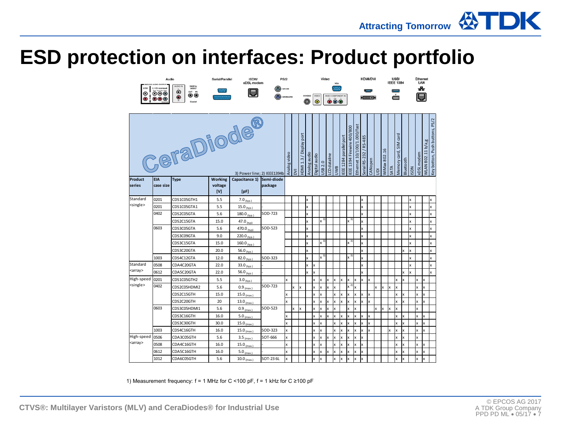### **ESD protection on interfaces: Product portfolio**

|                   | Audio<br><b>MALOS AUDIO OUTPUT</b>                    |                                                                                    | <b>Serial/Parallel</b>      | <b>ISDN/</b><br>xDSL modem | <b>PS/2</b>           |                          |                         |              |                           |                          | Video            |                                                |                        |                           |                            |                        | <b>HDMVDVI</b> |              |              |              |                                       | USB/<br><b>IEEE 1394</b>  |             |              | Ethernet<br>LAN   |                                |   |
|-------------------|-------------------------------------------------------|------------------------------------------------------------------------------------|-----------------------------|----------------------------|-----------------------|--------------------------|-------------------------|--------------|---------------------------|--------------------------|------------------|------------------------------------------------|------------------------|---------------------------|----------------------------|------------------------|----------------|--------------|--------------|--------------|---------------------------------------|---------------------------|-------------|--------------|-------------------|--------------------------------|---|
| ◉<br>$\bullet$    | $\odot\odot\odot$<br>$\mathbf{O}\mathbf{O}\mathbf{C}$ | ALICHO IR<br>DIGITAL<br>$\ddot{\mathbf{O}}$<br>OUT IN<br>…<br>$\bullet$<br>Coasial |                             | o                          |                       | MOUSE<br><b>CEVROARD</b> |                         |              | <b>S-VIDEO</b><br>$\odot$ | <b>VIDE</b><br>$\bullet$ |                  | VIDEO COMPONENT III<br>$\bullet\bullet\bullet$ |                        |                           |                            |                        | $\bullet$      |              |              |              |                                       | ě                         |             |              |                   |                                |   |
| CeraDiode®        |                                                       |                                                                                    | 3) Power line; 2) IEEE1394b |                            | Analog video          | Σ                        | HDMI 1.3 / Display port | Analog audio | Digital audio             | USB 2.0                  | CD dataline      | <b>HWID</b>                                    | EEE 1284 parallel port | EEE 1394 Firewire 400/800 | Ethernet 10/100/1.000/fast | Serial RS-232 / RS-485 | CANopen        | 鸟            | WiMax 802.16 | SATA         | card<br>$\frac{1}{2}$<br>Memory card, | Bluetooth                 | <b>ISDN</b> | xDSL modem   | WLAN 802.11 b/a,g | Key botton, Push buttons, PS/2 |   |
| Product<br>series | <b>EIA</b><br>case size                               | <b>Type</b>                                                                        | Working<br>voltage          | Capacitance 1)             | Semi-diode<br>package |                          |                         |              |                           |                          |                  |                                                |                        |                           |                            |                        |                |              |              |              |                                       |                           |             |              |                   |                                |   |
|                   |                                                       |                                                                                    | [V]                         | [pF]                       |                       |                          |                         |              |                           |                          |                  |                                                |                        |                           |                            |                        |                |              |              |              |                                       |                           |             |              |                   |                                |   |
| Standard          | 0201                                                  | CDS1C05GTH1                                                                        | 5.5                         | 7.0 $(p_1)$                |                       |                          |                         |              | x                         |                          |                  |                                                |                        |                           |                            |                        | X              |              |              |              |                                       |                           |             | x            |                   |                                |   |
| <single></single> | 0201                                                  | CDS1C05GTA1                                                                        | 5.5                         | 15.0 $_{(typ.)}$           |                       |                          |                         |              | $\mathsf{x}$              |                          |                  |                                                |                        |                           |                            |                        | $\mathsf{x}$   |              |              |              |                                       |                           |             | $\mathbf{x}$ |                   |                                | x |
|                   | 0402                                                  | CDS2C05GTA                                                                         | 5.6                         | $180.0$ (typ.)             | SOD-723               |                          |                         |              | $\mathbf{x}$              |                          |                  |                                                |                        |                           |                            |                        | x              |              |              |              |                                       |                           |             | x            |                   |                                | x |
|                   |                                                       | CDS2C15GTA                                                                         | 15.0                        | 47.0 $_{(two)}$            |                       |                          |                         |              | $\mathsf{x}$              |                          | $x^{3)}$         |                                                |                        |                           | $x^{3}$                    |                        | $\mathsf{x}$   |              |              |              |                                       |                           |             | x            |                   |                                | x |
|                   | 0603                                                  | CDS3C05GTA                                                                         | 5.6                         | 470.0 <sub>(typ)</sub>     | SOD-523               |                          |                         |              | x                         |                          |                  |                                                |                        |                           |                            |                        | x              |              |              |              |                                       |                           |             | x            |                   |                                | x |
|                   |                                                       | CDS3C09GTA                                                                         | 9.0                         | 220.0 (typ.)               |                       |                          |                         |              | $\mathsf{x}$              |                          |                  |                                                |                        |                           |                            |                        | x              |              |              |              |                                       |                           |             | $\mathbf{x}$ |                   |                                | x |
|                   |                                                       | CDS3C15GTA                                                                         | 15.0                        | 160.0 $_{(typ.)}$          |                       |                          |                         |              | x                         |                          | $\times$ $^{3)}$ |                                                |                        |                           | $\mathbf{x}^{(3)}$         |                        | x              |              |              |              |                                       |                           |             | x            |                   |                                | x |
|                   |                                                       | CDS3C20GTA                                                                         | 20.0                        | 56.0 (typ.)                |                       |                          |                         |              | x                         |                          |                  |                                                |                        |                           |                            |                        | x              |              |              |              |                                       |                           | x           | $\mathsf{x}$ |                   |                                | x |
|                   | 1003                                                  | CDS4C12GTA                                                                         | 12.0                        | 82.0 $_{(typ.)}$           | SOD-323               |                          |                         |              | x                         |                          | $\times$ 3)      |                                                |                        |                           | $x^3$                      |                        | x              |              |              |              |                                       |                           |             | x            |                   |                                | x |
| Standard          | 0508                                                  | CDA4C20GTA                                                                         | 22.0                        | 33.0 <sub>(typ.)</sub>     |                       |                          |                         |              | x                         | x                        |                  |                                                |                        |                           |                            |                        | $\mathbf{x}$   |              |              |              |                                       |                           |             | x            |                   |                                | x |
| <array></array>   | 0612                                                  | CDA5C20GTA                                                                         | 22.0                        | 56.0 $_{(typ.)}$           |                       |                          |                         |              | x                         | x                        |                  |                                                |                        |                           |                            |                        | x              |              |              |              |                                       |                           | x           | x            |                   |                                | x |
| High-speed        | 0201                                                  | CDS1C05GTH2                                                                        | 5.5                         | $3.0_{(typ.)}$             |                       | x                        |                         |              |                           | x                        | x                | x                                              | x                      | x                         | x                          | Ιx                     | x              | x            |              |              |                                       |                           | x           |              | x                 | x                              |   |
| <single></single> | 0402                                                  | CDS2C05HDMI2                                                                       | 5.6                         | $0.9$ (max.)               | SOD-723               |                          | x                       | x            |                           | x                        | x                | x                                              | x                      |                           | $x^{2}$                    | x                      |                |              | x            | $\mathbf{x}$ | x                                     | $\boldsymbol{\mathsf{x}}$ |             |              | x                 | x                              |   |
|                   |                                                       | CDS2C15GTH                                                                         | 15.0                        | $15.0$ (max.)              |                       | x                        |                         |              |                           | x                        |                  |                                                |                        | x                         | x                          | x                      | x              | x            |              |              |                                       |                           | x           |              |                   | x                              |   |
|                   |                                                       | CDS2C20GTH                                                                         | 20                          | $13.0_{(max.)}$            |                       | $\mathbf{x}$             |                         |              |                           | x                        | x                | x                                              | x                      | x                         | x                          | x                      | $\mathbf{x}$   | $\mathbf{x}$ |              |              |                                       | $\mathbf{x}$              | x           |              | x                 | x                              |   |
|                   | 0603                                                  | CDS3C05HDMI1                                                                       | 5.6                         | $0.9_{(max.)}$             | SOD-523               |                          | x                       | x            |                           | x                        | x                | x                                              | x                      |                           | x                          | x                      |                |              | x            | $\mathsf{x}$ | x                                     | $\boldsymbol{\mathsf{x}}$ |             |              | x                 |                                |   |
|                   |                                                       | CDS3C16GTH                                                                         | 16.0                        | $5.0_{(max)}$              |                       | x                        |                         |              |                           | x                        | x                | x                                              | x                      | x                         | x                          | x                      | x              | x            |              |              |                                       |                           | x           |              |                   | x                              |   |
|                   |                                                       | CDS3C30GTH                                                                         | 30.0                        | $15.0_{(max)}$             |                       | x                        |                         |              |                           | x                        | $\mathbf x$      |                                                | x                      | x                         | x                          | x                      | x              | x            |              |              |                                       |                           | x           |              | x                 | x                              |   |
|                   | 1003                                                  | CDS4C16GTH                                                                         | 16.0                        | 15.0 $_{(max)}$            | SOD-323               | x                        |                         |              |                           | x                        | x                |                                                | x                      | x                         | x                          | x                      | x              | x            |              |              | X                                     | x                         | x           |              | x                 | x                              |   |
| High-speed        | 0506                                                  | CDA3C05GTH                                                                         | 5.6                         | $3.5_{(max)}$              | SOT-666               | x                        |                         |              |                           | x                        | x                | x                                              | x                      | x                         | x                          | x                      | X              |              |              |              |                                       | x                         | x           |              | x                 |                                |   |
| <array></array>   | 0508                                                  | CDA4C16GTH                                                                         | 16.0                        | 15.0 $_{(max)}$            |                       | x                        |                         |              |                           | x                        |                  |                                                | x                      | x                         | x                          | x                      | x              |              |              |              |                                       |                           | ×           |              |                   | x                              |   |
|                   | 0612                                                  | CDA5C16GTH                                                                         | 16.0                        | $5.0_{(max)}$              |                       | $\mathbf{x}$             |                         |              |                           | $\mathbf{x}$             | x                | x                                              | x                      | x                         | x                          | x                      | x              |              |              |              |                                       | x                         | x           |              | x                 | x                              |   |
|                   | 1012                                                  | CDA6C05GTH                                                                         | 5.6                         | $10.0$ (max.)              | SOT-236L              | x                        |                         |              |                           | x                        | x                |                                                | x                      | x                         | x                          | x                      | x              |              |              |              |                                       | x                         | x           |              | $\mathsf{x}$      | x                              |   |

1) Measurement frequency: f = 1 MHz for C <100 pF, f = 1 kHz for C ≥100 pF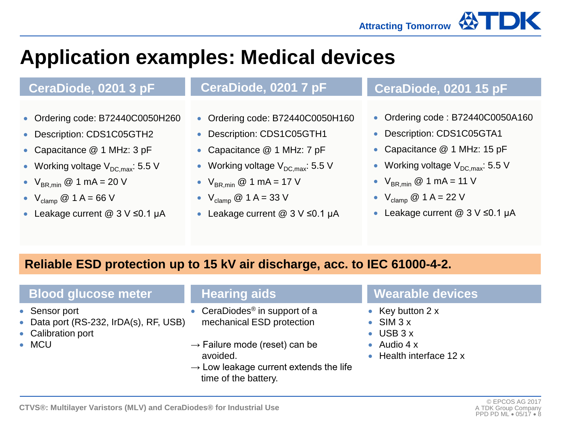

## **Application examples: Medical devices**

- Ordering code: B72440C0050H260
- Description: CDS1C05GTH2
- Capacitance @ 1 MHz: 3 pF
- Working voltage  $V_{DC,max}$ : 5.5 V
- $V_{BR,min}$  @ 1 mA = 20 V
- $V_{\text{clamp}} @ 1 A = 66 V$
- Leakage current @ 3 V ≤0.1 µA

- Ordering code: B72440C0050H160
- Description: CDS1C05GTH1
- Capacitance @ 1 MHz: 7 pF
- Working voltage  $V_{DC,max}$ : 5.5 V
- $V_{BR,min}$  @ 1 mA = 17 V
- $V_{\text{clamp}} @ 1 A = 33 V$
- Leakage current @ 3 V ≤0.1 µA

### **CeraDiode, 0201 3 pF CeraDiode, 0201 7 pF CeraDiode, 0201 15 pF**

- Ordering code: B72440C0050A160
- Description: CDS1C05GTA1
- Capacitance @ 1 MHz: 15 pF
- Working voltage  $V_{DC,max}$ : 5.5 V
- $V_{BR,min}$  @ 1 mA = 11 V
- $V_{\text{clamp}} @ 1 A = 22 V$
- Leakage current @ 3 V ≤0.1 μA

### **Reliable ESD protection up to 15 kV air discharge, acc. to IEC 61000-4-2.**

### **Blood glucose meter Hearing aids Wearable devices**

- Sensor port
- Data port (RS-232, IrDA(s), RF, USB)
- Calibration port
- MCU

- CeraDiodes® in support of a mechanical ESD protection
- $\rightarrow$  Failure mode (reset) can be avoided.
- $\rightarrow$  Low leakage current extends the life time of the battery.

- Key button 2 x
- SIM 3 x
- USB 3 x
- Audio 4 x
- Health interface 12 x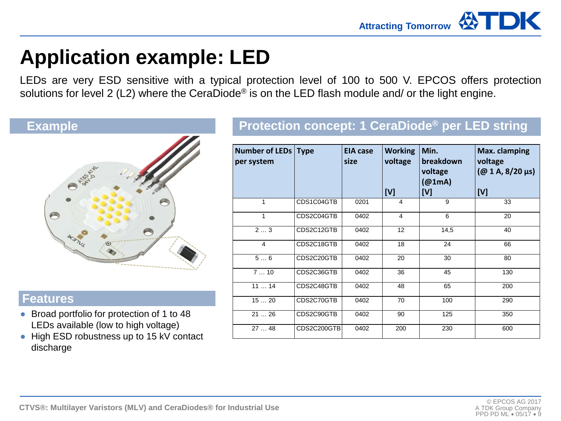

## **Application example: LED**

LEDs are very ESD sensitive with a typical protection level of 100 to 500 V. EPCOS offers protection solutions for level 2 (L2) where the CeraDiode<sup>®</sup> is on the LED flash module and/ or the light engine.



#### **Features**

- Broad portfolio for protection of 1 to 48 LEDs available (low to high voltage)
- High ESD robustness up to 15 kV contact discharge

### **Protection concept: 1 CeraDiode Example ® per LED string**

| <b>Number of LEDs Type</b><br>per system |             | <b>EIA case</b><br>size | <b>Working</b><br>voltage<br>[V] | Min.<br>breakdown<br>voltage<br>(@1mA)<br>[V] | Max. clamping<br>voltage<br>$(Q0 1 A, 8/20 \,\mu s)$<br>[V] |
|------------------------------------------|-------------|-------------------------|----------------------------------|-----------------------------------------------|-------------------------------------------------------------|
| 1                                        | CDS1C04GTB  | 0201                    | $\overline{4}$                   | 9                                             | 33                                                          |
| 1                                        | CDS2C04GTB  | 0402                    | 4                                | 6                                             | 20                                                          |
| 23                                       | CDS2C12GTB  | 0402                    | 12                               | 14,5                                          | 40                                                          |
| 4                                        | CDS2C18GTB  | 0402                    | 18                               | 24                                            | 66                                                          |
| 56                                       | CDS2C20GTB  | 0402                    | 20                               | 30                                            | 80                                                          |
| 710                                      | CDS2C36GTB  | 0402                    | 36                               | 45                                            | 130                                                         |
| 1114                                     | CDS2C48GTB  | 0402                    | 48                               | 65                                            | 200                                                         |
| 1520                                     | CDS2C70GTB  | 0402                    | 70                               | 100                                           | 290                                                         |
| 2126                                     | CDS2C90GTB  | 0402                    | 90                               | 125                                           | 350                                                         |
| 2748                                     | CDS2C200GTB | 0402                    | 200                              | 230                                           | 600                                                         |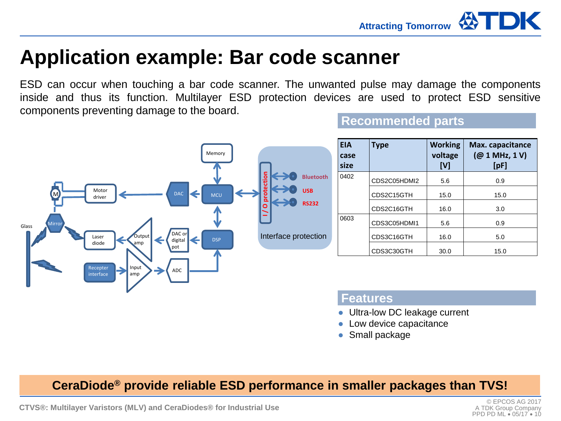

### **Application example: Bar code scanner**

ESD can occur when touching a bar code scanner. The unwanted pulse may damage the components inside and thus its function. Multilayer ESD protection devices are used to protect ESD sensitive components preventing damage to the board. **Recommended parts**



#### **Features**

- Ultra-low DC leakage current
- Low device capacitance
- Small package

**CeraDiode® provide reliable ESD performance in smaller packages than TVS!**

**CTVS®: Multilayer Varistors (MLV) and CeraDiodes® for Industrial Use**

A TDK Group Company PPD PD ML • 05/17 • 10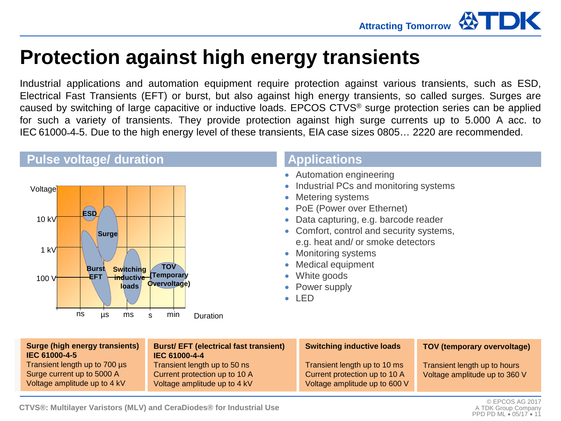

### **Protection against high energy transients**

Industrial applications and automation equipment require protection against various transients, such as ESD, Electrical Fast Transients (EFT) or burst, but also against high energy transients, so called surges. Surges are caused by switching of large capacitive or inductive loads. EPCOS CTVS® surge protection series can be applied for such a variety of transients. They provide protection against high surge currents up to 5.000 A acc. to IEC 61000˗4˗5. Due to the high energy level of these transients, EIA case sizes 0805… 2220 are recommended.

#### **Pulse voltage/ duration Applications**



- Automation engineering
- Industrial PCs and monitoring systems
- Metering systems
- PoE (Power over Ethernet)
- Data capturing, e.g. barcode reader
- Comfort, control and security systems, e.g. heat and/ or smoke detectors
- Monitoring systems
- Medical equipment
- White goods
- Power supply
- LED

| <b>Surge (high energy transients)</b><br>IEC 61000-4-5                                      | <b>Burst/EFT (electrical fast transient)</b><br>IEC 61000-4-4                                 | <b>Switching inductive loads</b>                                                               | <b>TOV (temporary overvoltage)</b>                            |
|---------------------------------------------------------------------------------------------|-----------------------------------------------------------------------------------------------|------------------------------------------------------------------------------------------------|---------------------------------------------------------------|
| Transient length up to 700 µs<br>Surge current up to 5000 A<br>Voltage amplitude up to 4 kV | Transient length up to 50 ns<br>Current protection up to 10 A<br>Voltage amplitude up to 4 kV | Transient length up to 10 ms<br>Current protection up to 10 A<br>Voltage amplitude up to 600 V | Transient length up to hours<br>Voltage amplitude up to 360 V |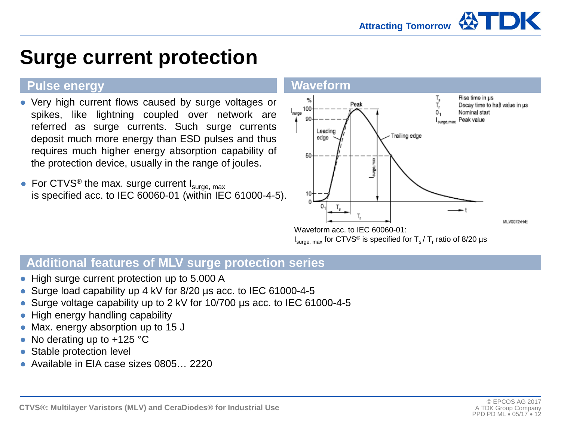## **Surge current protection**

### **Pulse energy Waveform Waveform**

- Very high current flows caused by surge voltages or spikes, like lightning coupled over network are referred as surge currents. Such surge currents deposit much more energy than ESD pulses and thus requires much higher energy absorption capability of the protection device, usually in the range of joules.
- For CTVS<sup>®</sup> the max. surge current  $I_{\text{surface, max}}$ is specified acc. to IEC 60060-01 (within IEC 61000-4-5).





 $I<sub>surface, max</sub>$  for CTVS<sup>®</sup> is specified for T<sub>s</sub> / T<sub>r</sub> ratio of 8/20 µs

### **Additional features of MLV surge protection series**

- High surge current protection up to 5.000 A
- Surge load capability up 4 kV for 8/20 us acc. to IEC 61000-4-5
- Surge voltage capability up to 2 kV for 10/700 us acc. to IEC 61000-4-5
- High energy handling capability
- Max. energy absorption up to 15 J
- No derating up to  $+125$  °C
- Stable protection level
- Available in EIA case sizes 0805… 2220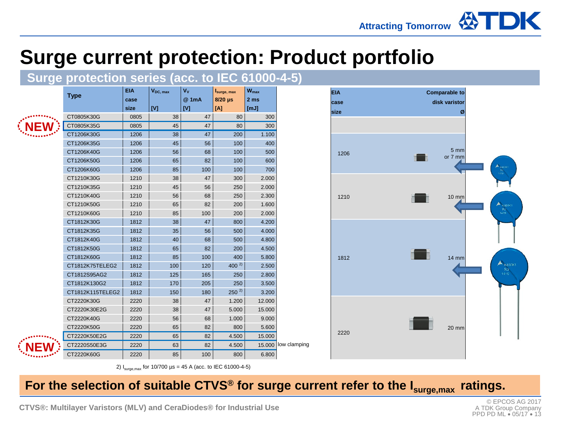# **Surge current protection: Product portfolio**<br>Surge protection series (acc. to IEC 61000-4-5)



**NEW**

|                  | EIA  | V <sub>DC, max</sub> | Vv    | Isurge, max | W <sub>max</sub> |              |
|------------------|------|----------------------|-------|-------------|------------------|--------------|
| <b>Type</b>      | case |                      | @ 1mA | $8/20$ µs   | 2 <sub>ms</sub>  |              |
|                  | size | [V]                  | [V]   | [A]         | [mJ]             |              |
| CT0805K30G       | 0805 | 38                   | 47    | 80          | 300              |              |
| CT0805K35G       | 0805 | 45                   | 47    | 80          | 300              |              |
| CT1206K30G       | 1206 | 38                   | 47    | 200         | 1.100            |              |
| CT1206K35G       | 1206 | 45                   | 56    | 100         | 400              |              |
| CT1206K40G       | 1206 | 56                   | 68    | 100         | 500              |              |
| CT1206K50G       | 1206 | 65                   | 82    | 100         | 600              |              |
| CT1206K60G       | 1206 | 85                   | 100   | 100         | 700              |              |
| CT1210K30G       | 1210 | 38                   | 47    | 300         | 2.000            |              |
| CT1210K35G       | 1210 | 45                   | 56    | 250         | 2.000            |              |
| CT1210K40G       | 1210 | 56                   | 68    | 250         | 2.300            |              |
| CT1210K50G       | 1210 | 65                   | 82    | 200         | 1.600            |              |
| CT1210K60G       | 1210 | 85                   | 100   | 200         | 2.000            |              |
| CT1812K30G       | 1812 | 38                   | 47    | 800         | 4.200            |              |
| CT1812K35G       | 1812 | 35                   | 56    | 500         | 4.000            |              |
| CT1812K40G       | 1812 | 40                   | 68    | 500         | 4.800            |              |
| CT1812K50G       | 1812 | 65                   | 82    | 200         | 4.500            |              |
| CT1812K60G       | 1812 | 85                   | 100   | 400         | 5.800            |              |
| CT1812K75TELEG2  | 1812 | 100                  | 120   | $400^{2}$   | 2.500            |              |
| CT1812S95AG2     | 1812 | 125                  | 165   | 250         | 2.800            |              |
| CT1812K130G2     | 1812 | 170                  | 205   | 250         | 3.500            |              |
| CT1812K115TELEG2 | 1812 | 150                  | 180   | $250^{2}$   | 3.200            |              |
| CT2220K30G       | 2220 | 38                   | 47    | 1.200       | 12.000           |              |
| CT2220K30E2G     | 2220 | 38                   | 47    | 5.000       | 15.000           |              |
| CT2220K40G       | 2220 | 56                   | 68    | 1.000       | 9.000            |              |
| CT2220K50G       | 2220 | 65                   | 82    | 800         | 5.600            |              |
| CT2220K50E2G     | 2220 | 65                   | 82    | 4.500       | 15.000           |              |
| CT2220S50E3G     | 2220 | 63                   | 82    | 4.500       | 15.000           | low clamping |
| CT2220K60G       | 2220 | 85                   | 100   | 800         | 6.800            |              |



2)  $I_{\text{surge,max}}$  for 10/700  $\mu$ s = 45 A (acc. to IEC 61000-4-5)

### For the selection of suitable CTVS® for surge current refer to the I<sub>surge, max</sub> ratings.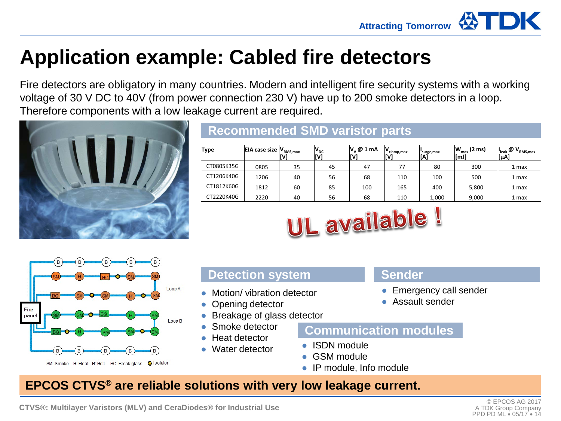

## **Application example: Cabled fire detectors**

Fire detectors are obligatory in many countries. Modern and intelligent fire security systems with a working voltage of 30 V DC to 40V (from power connection 230 V) have up to 200 smoke detectors in a loop. Therefore components with a low leakage current are required.



### **Recommended SMD varistor parts**

| Type       | <b>EIA case size <math> V_{RMS,max} </math></b> | ΊV, | $V_{\rm DC}$<br>[V] | $ V_{v} \mathcal{Q}  1$ mA | IV<br>clamp,max<br>[V] | surge, max<br>[[A] | $ W_{max}(2 \text{ ms}) $<br>[mJ] | $\mathbb{C}$ $\mathsf{V}_{\text{RMS,max}}$<br>[uA] |
|------------|-------------------------------------------------|-----|---------------------|----------------------------|------------------------|--------------------|-----------------------------------|----------------------------------------------------|
| CT0805K35G | 0805                                            | 35  | 45                  | 47                         | 77                     | 80                 | 300                               | 1 max                                              |
| CT1206K40G | 1206                                            | 40  | 56                  | 68                         | 110                    | 100                | 500                               | 1 max                                              |
| CT1812K60G | 1812                                            | 60  | 85                  | 100                        | 165                    | 400                | 5,800                             | 1 max                                              |
| CT2220K40G | 2220                                            | 40  | 56                  | 68                         | 110                    | 1,000              | 9,000                             | 1 max                                              |





### **Detection system Sender**

- Motion/ vibration detector
- Opening detector
- Breakage of glass detector
- Smoke detector
- **Heat detector**
- Water detector

- Emergency call sender
- Assault sender

#### **Communication modules**

- ISDN module
- GSM module
- IP module, Info module

### **EPCOS CTVS® are reliable solutions with very low leakage current.**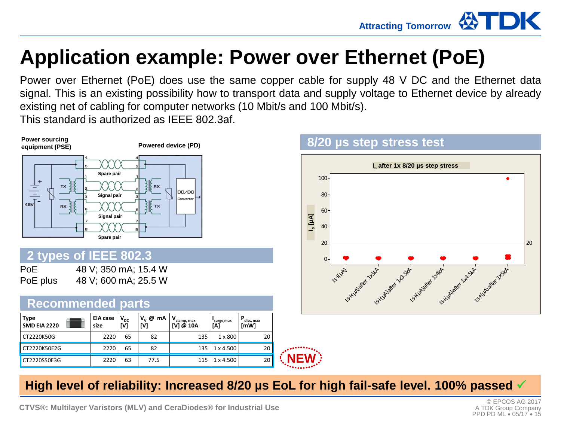## **Application example: Power over Ethernet (PoE)**

Power over Ethernet (PoE) does use the same copper cable for supply 48 V DC and the Ethernet data signal. This is an existing possibility how to transport data and supply voltage to Ethernet device by already existing net of cabling for computer networks (10 Mbit/s and 100 Mbit/s).

This standard is authorized as IEEE 802.3af.



### **8/20 µs step stress test**



### **High level of reliability: Increased 8/20 µs EoL for high fail-safe level. 100% passed**

**NEW**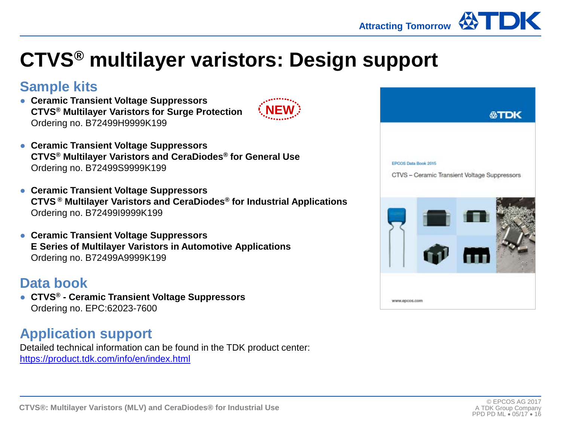

## **CTVS® multilayer varistors: Design support**

### **Sample kits**

● **Ceramic Transient Voltage Suppressors CTVS® Multilayer Varistors for Surge Protection** Ordering no. B72499H9999K199



- **Ceramic Transient Voltage Suppressors CTVS® Multilayer Varistors and CeraDiodes® for General Use** Ordering no. B72499S9999K199
- **Ceramic Transient Voltage Suppressors CTVS ® Multilayer Varistors and CeraDiodes® for Industrial Applications** Ordering no. B72499I9999K199
- **Ceramic Transient Voltage Suppressors E Series of Multilayer Varistors in Automotive Applications** Ordering no. B72499A9999K199

### **Data book**

● **CTVS® - Ceramic Transient Voltage Suppressors** Ordering no. EPC:62023-7600

### **Application support**

Detailed technical information can be found in the TDK product center: <https://product.tdk.com/info/en/index.html>

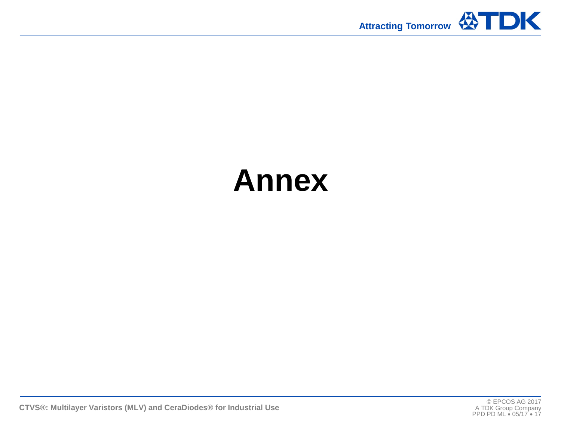

# **Annex**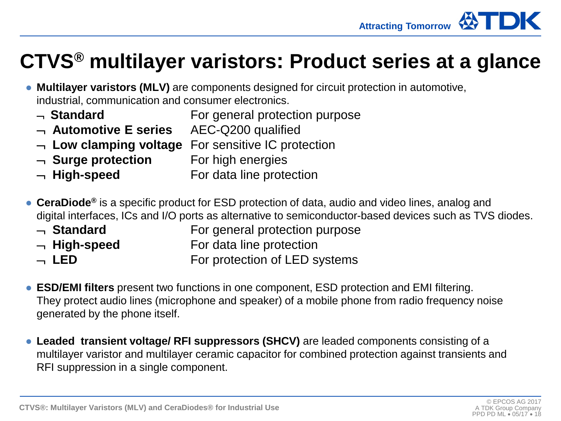### **CTVS® multilayer varistors: Product series at a glance**

- **Multilayer varistors (MLV)** are components designed for circuit protection in automotive, industrial, communication and consumer electronics.
	- ¬ **Standard** For general protection purpose
	- ¬ **Automotive E series** AEC-Q200 qualified
	- ¬ **Low clamping voltage** For sensitive IC protection
	- ¬ **Surge protection** For high energies
	- ¬ **High-speed** For data line protection
- **CeraDiode**® is a specific product for ESD protection of data, audio and video lines, analog and digital interfaces, ICs and I/O ports as alternative to semiconductor-based devices such as TVS diodes.
	- ¬ **Standard** For general protection purpose
	- ¬ **High-speed** For data line protection
	- ¬ **LED** For protection of LED systems
- **ESD/EMI filters** present two functions in one component, ESD protection and EMI filtering. They protect audio lines (microphone and speaker) of a mobile phone from radio frequency noise generated by the phone itself.
- **Leaded transient voltage/ RFI suppressors (SHCV)** are leaded components consisting of a multilayer varistor and multilayer ceramic capacitor for combined protection against transients and RFI suppression in a single component.